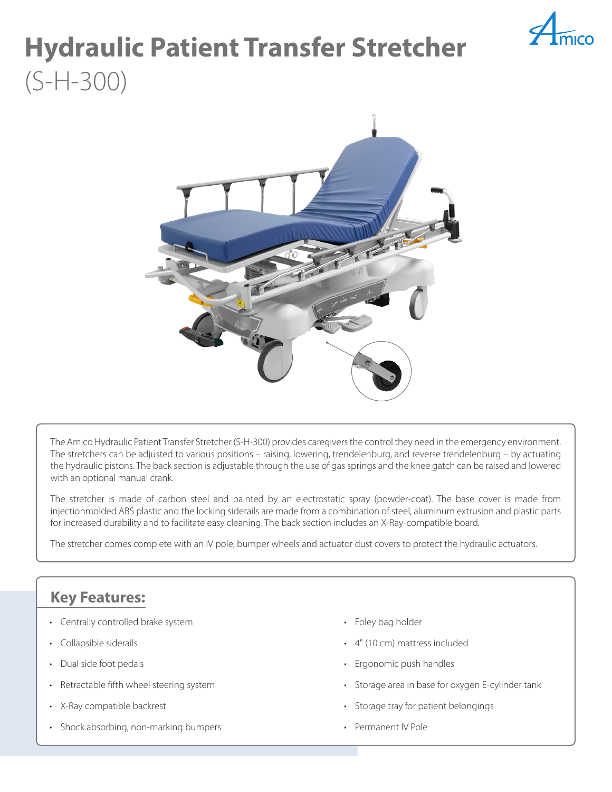

# **Hydraulic Patient Transfer Stretcher**  (S-H-300)



The Amico Hydraulic Patient Transfer Stretcher (S-H-300) provides caregivers the control they need in the emergency environment. The stretchers can be adjusted to various positions – raising, lowering, trendelenburg, and reverse trendelenburg – by actuating the hydraulic pistons. The back section is adjustable through the use of gas springs and the knee gatch can be raised and lowered with an optional manual crank.

The stretcher is made of carbon steel and painted by an electrostatic spray (powder-coat). The base cover is made from injectionmolded ABS plastic and the locking siderails are made from a combination of steel, aluminum extrusion and plastic parts for increased durability and to facilitate easy cleaning. The back section includes an X-Ray-compatible board.

The stretcher comes complete with an IV pole, bumper wheels and actuator dust covers to protect the hydraulic actuators.

## **Key Features:**

- Centrally controlled brake system
- Collapsible siderails
- Dual side foot pedals
- Retractable fifth wheel steering system
- X-Ray compatible backrest
- Shock absorbing, non-marking bumpers
- Foley bag holder
- 4" (10 cm) mattress included
- Ergonomic push handles
- Storage area in base for oxygen E-cylinder tank
- Storage tray for patient belongings
- Permanent IV Pole